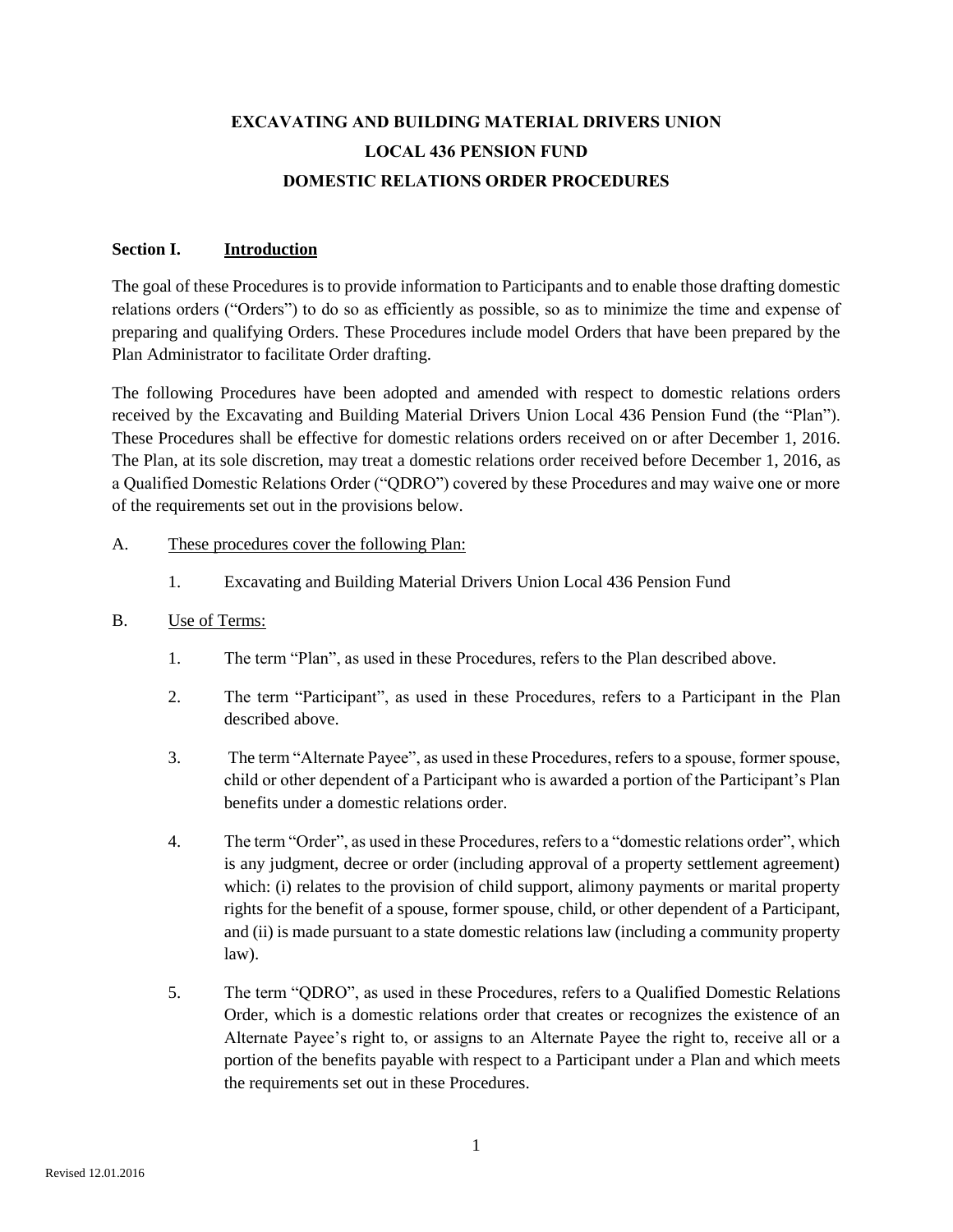# **EXCAVATING AND BUILDING MATERIAL DRIVERS UNION LOCAL 436 PENSION FUND DOMESTIC RELATIONS ORDER PROCEDURES**

#### **Section I. Introduction**

The goal of these Procedures is to provide information to Participants and to enable those drafting domestic relations orders ("Orders") to do so as efficiently as possible, so as to minimize the time and expense of preparing and qualifying Orders. These Procedures include model Orders that have been prepared by the Plan Administrator to facilitate Order drafting.

The following Procedures have been adopted and amended with respect to domestic relations orders received by the Excavating and Building Material Drivers Union Local 436 Pension Fund (the "Plan"). These Procedures shall be effective for domestic relations orders received on or after December 1, 2016. The Plan, at its sole discretion, may treat a domestic relations order received before December 1, 2016, as a Qualified Domestic Relations Order ("QDRO") covered by these Procedures and may waive one or more of the requirements set out in the provisions below.

## A. These procedures cover the following Plan:

1. Excavating and Building Material Drivers Union Local 436 Pension Fund

#### B. Use of Terms:

- 1. The term "Plan", as used in these Procedures, refers to the Plan described above.
- 2. The term "Participant", as used in these Procedures, refers to a Participant in the Plan described above.
- 3. The term "Alternate Payee", as used in these Procedures, refers to a spouse, former spouse, child or other dependent of a Participant who is awarded a portion of the Participant's Plan benefits under a domestic relations order.
- 4. The term "Order", as used in these Procedures, refers to a "domestic relations order", which is any judgment, decree or order (including approval of a property settlement agreement) which: (i) relates to the provision of child support, alimony payments or marital property rights for the benefit of a spouse, former spouse, child, or other dependent of a Participant, and (ii) is made pursuant to a state domestic relations law (including a community property law).
- 5. The term "QDRO", as used in these Procedures, refers to a Qualified Domestic Relations Order, which is a domestic relations order that creates or recognizes the existence of an Alternate Payee's right to, or assigns to an Alternate Payee the right to, receive all or a portion of the benefits payable with respect to a Participant under a Plan and which meets the requirements set out in these Procedures.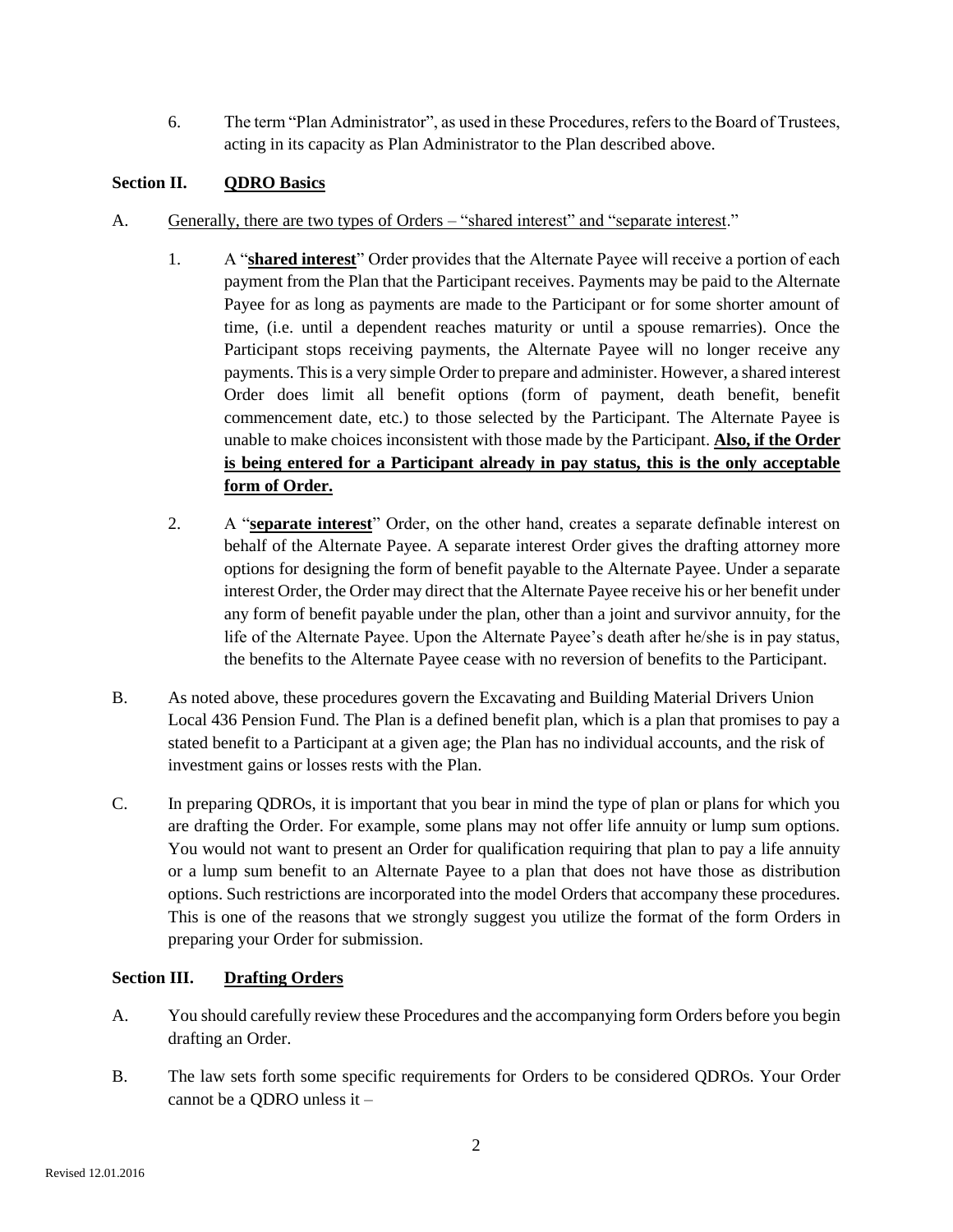6. The term "Plan Administrator", as used in these Procedures, refers to the Board of Trustees, acting in its capacity as Plan Administrator to the Plan described above.

# **Section II. QDRO Basics**

- A. Generally, there are two types of Orders "shared interest" and "separate interest."
	- 1. A "**shared interest**" Order provides that the Alternate Payee will receive a portion of each payment from the Plan that the Participant receives. Payments may be paid to the Alternate Payee for as long as payments are made to the Participant or for some shorter amount of time, (i.e. until a dependent reaches maturity or until a spouse remarries). Once the Participant stops receiving payments, the Alternate Payee will no longer receive any payments. This is a very simple Order to prepare and administer. However, a shared interest Order does limit all benefit options (form of payment, death benefit, benefit commencement date, etc.) to those selected by the Participant. The Alternate Payee is unable to make choices inconsistent with those made by the Participant. **Also, if the Order is being entered for a Participant already in pay status, this is the only acceptable form of Order.**
	- 2. A "**separate interest**" Order, on the other hand, creates a separate definable interest on behalf of the Alternate Payee. A separate interest Order gives the drafting attorney more options for designing the form of benefit payable to the Alternate Payee. Under a separate interest Order, the Order may direct that the Alternate Payee receive his or her benefit under any form of benefit payable under the plan, other than a joint and survivor annuity, for the life of the Alternate Payee. Upon the Alternate Payee's death after he/she is in pay status, the benefits to the Alternate Payee cease with no reversion of benefits to the Participant.
- B. As noted above, these procedures govern the Excavating and Building Material Drivers Union Local 436 Pension Fund. The Plan is a defined benefit plan, which is a plan that promises to pay a stated benefit to a Participant at a given age; the Plan has no individual accounts, and the risk of investment gains or losses rests with the Plan.
- C. In preparing QDROs, it is important that you bear in mind the type of plan or plans for which you are drafting the Order. For example, some plans may not offer life annuity or lump sum options. You would not want to present an Order for qualification requiring that plan to pay a life annuity or a lump sum benefit to an Alternate Payee to a plan that does not have those as distribution options. Such restrictions are incorporated into the model Orders that accompany these procedures. This is one of the reasons that we strongly suggest you utilize the format of the form Orders in preparing your Order for submission.

## **Section III. Drafting Orders**

- A. You should carefully review these Procedures and the accompanying form Orders before you begin drafting an Order.
- B. The law sets forth some specific requirements for Orders to be considered QDROs. Your Order cannot be a QDRO unless it –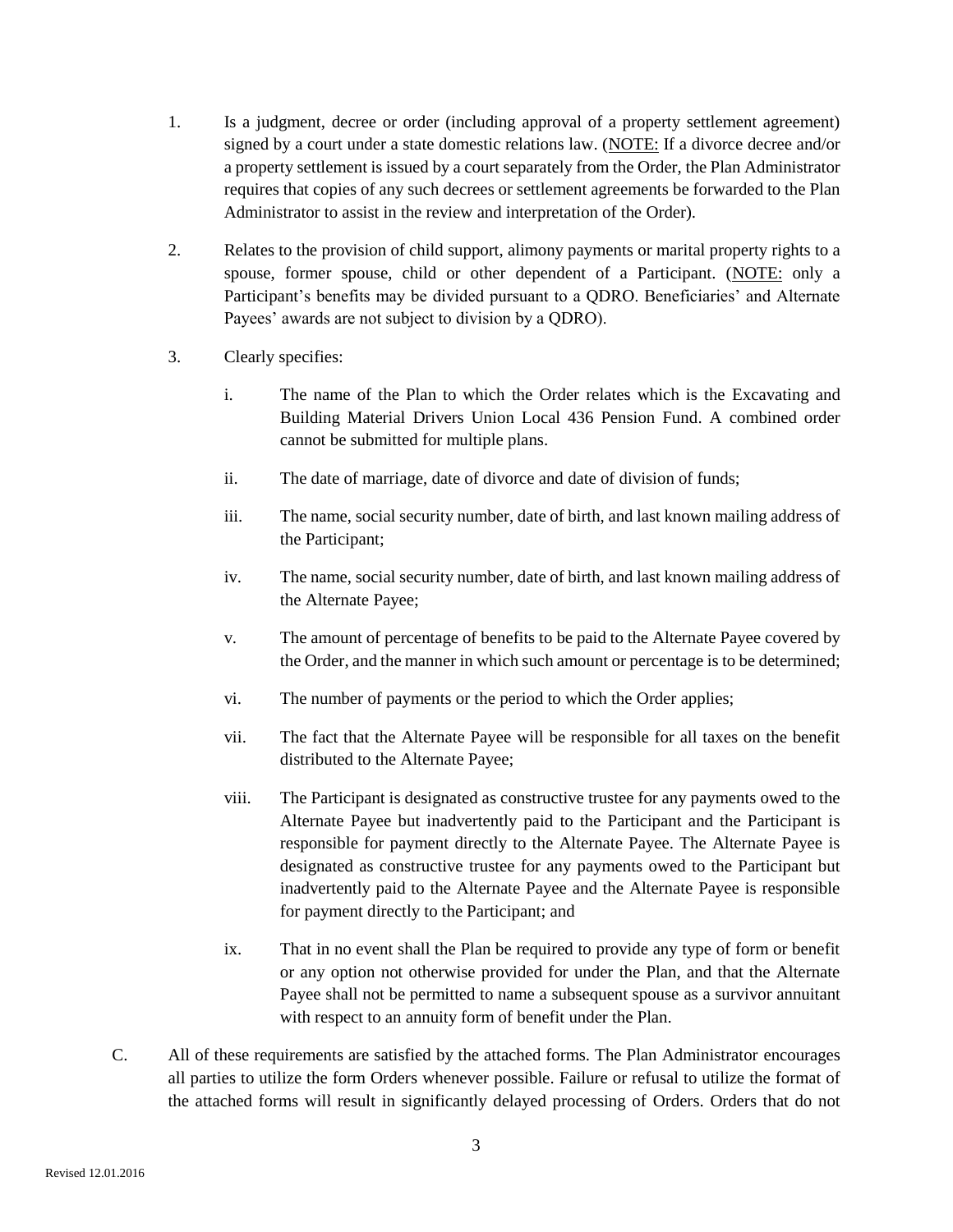- 1. Is a judgment, decree or order (including approval of a property settlement agreement) signed by a court under a state domestic relations law. (NOTE: If a divorce decree and/or a property settlement is issued by a court separately from the Order, the Plan Administrator requires that copies of any such decrees or settlement agreements be forwarded to the Plan Administrator to assist in the review and interpretation of the Order).
- 2. Relates to the provision of child support, alimony payments or marital property rights to a spouse, former spouse, child or other dependent of a Participant. (NOTE: only a Participant's benefits may be divided pursuant to a QDRO. Beneficiaries' and Alternate Payees' awards are not subject to division by a QDRO).
- 3. Clearly specifies:
	- i. The name of the Plan to which the Order relates which is the Excavating and Building Material Drivers Union Local 436 Pension Fund. A combined order cannot be submitted for multiple plans.
	- ii. The date of marriage, date of divorce and date of division of funds;
	- iii. The name, social security number, date of birth, and last known mailing address of the Participant;
	- iv. The name, social security number, date of birth, and last known mailing address of the Alternate Payee;
	- v. The amount of percentage of benefits to be paid to the Alternate Payee covered by the Order, and the manner in which such amount or percentage is to be determined;
	- vi. The number of payments or the period to which the Order applies;
	- vii. The fact that the Alternate Payee will be responsible for all taxes on the benefit distributed to the Alternate Payee;
	- viii. The Participant is designated as constructive trustee for any payments owed to the Alternate Payee but inadvertently paid to the Participant and the Participant is responsible for payment directly to the Alternate Payee. The Alternate Payee is designated as constructive trustee for any payments owed to the Participant but inadvertently paid to the Alternate Payee and the Alternate Payee is responsible for payment directly to the Participant; and
	- ix. That in no event shall the Plan be required to provide any type of form or benefit or any option not otherwise provided for under the Plan, and that the Alternate Payee shall not be permitted to name a subsequent spouse as a survivor annuitant with respect to an annuity form of benefit under the Plan.
- C. All of these requirements are satisfied by the attached forms. The Plan Administrator encourages all parties to utilize the form Orders whenever possible. Failure or refusal to utilize the format of the attached forms will result in significantly delayed processing of Orders. Orders that do not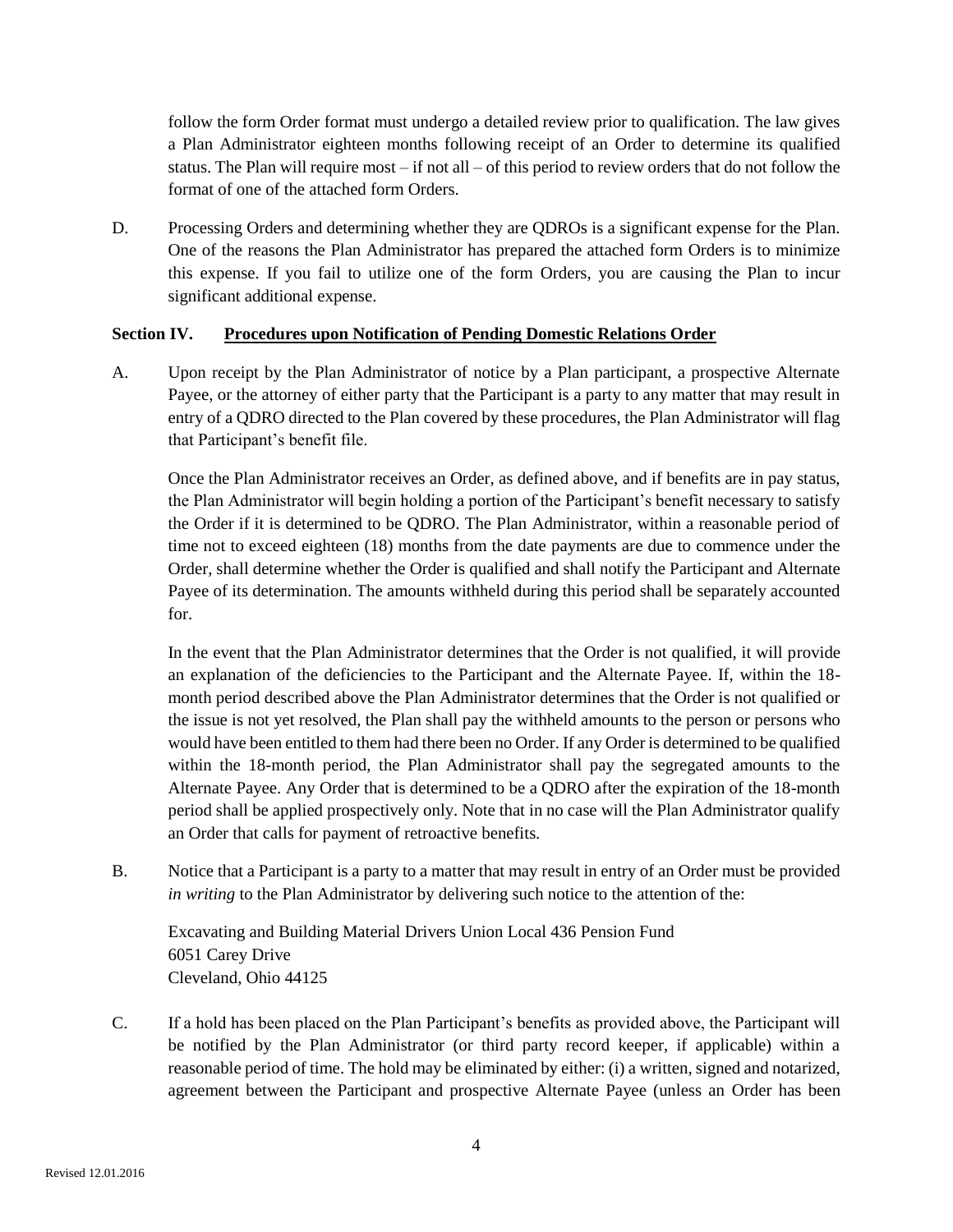follow the form Order format must undergo a detailed review prior to qualification. The law gives a Plan Administrator eighteen months following receipt of an Order to determine its qualified status. The Plan will require most – if not all – of this period to review orders that do not follow the format of one of the attached form Orders.

D. Processing Orders and determining whether they are QDROs is a significant expense for the Plan. One of the reasons the Plan Administrator has prepared the attached form Orders is to minimize this expense. If you fail to utilize one of the form Orders, you are causing the Plan to incur significant additional expense.

## **Section IV. Procedures upon Notification of Pending Domestic Relations Order**

A. Upon receipt by the Plan Administrator of notice by a Plan participant, a prospective Alternate Payee, or the attorney of either party that the Participant is a party to any matter that may result in entry of a QDRO directed to the Plan covered by these procedures, the Plan Administrator will flag that Participant's benefit file.

Once the Plan Administrator receives an Order, as defined above, and if benefits are in pay status, the Plan Administrator will begin holding a portion of the Participant's benefit necessary to satisfy the Order if it is determined to be QDRO. The Plan Administrator, within a reasonable period of time not to exceed eighteen (18) months from the date payments are due to commence under the Order, shall determine whether the Order is qualified and shall notify the Participant and Alternate Payee of its determination. The amounts withheld during this period shall be separately accounted for.

In the event that the Plan Administrator determines that the Order is not qualified, it will provide an explanation of the deficiencies to the Participant and the Alternate Payee. If, within the 18 month period described above the Plan Administrator determines that the Order is not qualified or the issue is not yet resolved, the Plan shall pay the withheld amounts to the person or persons who would have been entitled to them had there been no Order. If any Order is determined to be qualified within the 18-month period, the Plan Administrator shall pay the segregated amounts to the Alternate Payee. Any Order that is determined to be a QDRO after the expiration of the 18-month period shall be applied prospectively only. Note that in no case will the Plan Administrator qualify an Order that calls for payment of retroactive benefits.

B. Notice that a Participant is a party to a matter that may result in entry of an Order must be provided *in writing* to the Plan Administrator by delivering such notice to the attention of the:

Excavating and Building Material Drivers Union Local 436 Pension Fund 6051 Carey Drive Cleveland, Ohio 44125

C. If a hold has been placed on the Plan Participant's benefits as provided above, the Participant will be notified by the Plan Administrator (or third party record keeper, if applicable) within a reasonable period of time. The hold may be eliminated by either: (i) a written, signed and notarized, agreement between the Participant and prospective Alternate Payee (unless an Order has been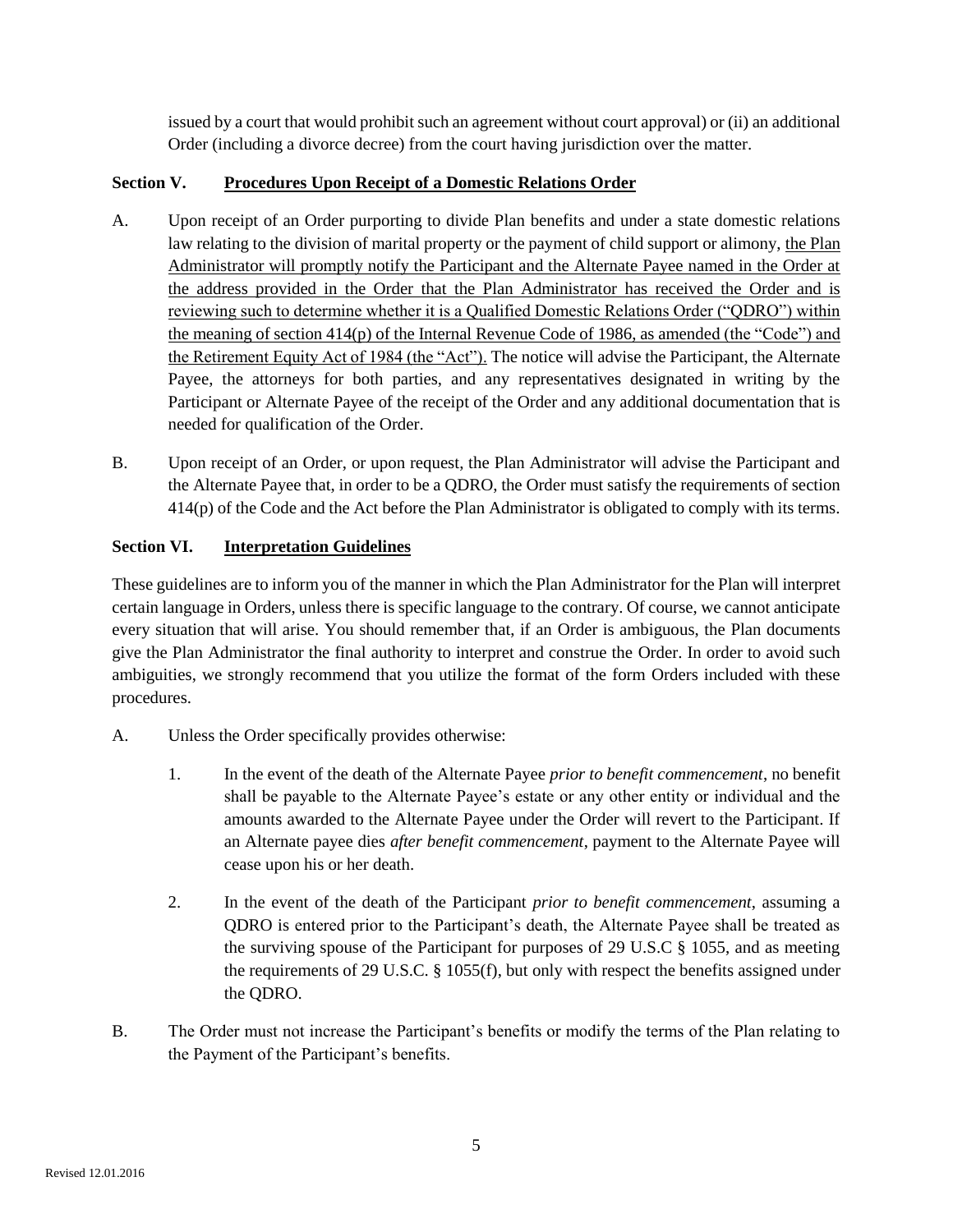issued by a court that would prohibit such an agreement without court approval) or (ii) an additional Order (including a divorce decree) from the court having jurisdiction over the matter.

# **Section V. Procedures Upon Receipt of a Domestic Relations Order**

- A. Upon receipt of an Order purporting to divide Plan benefits and under a state domestic relations law relating to the division of marital property or the payment of child support or alimony, the Plan Administrator will promptly notify the Participant and the Alternate Payee named in the Order at the address provided in the Order that the Plan Administrator has received the Order and is reviewing such to determine whether it is a Qualified Domestic Relations Order ("QDRO") within the meaning of section 414(p) of the Internal Revenue Code of 1986, as amended (the "Code") and the Retirement Equity Act of 1984 (the "Act"). The notice will advise the Participant, the Alternate Payee, the attorneys for both parties, and any representatives designated in writing by the Participant or Alternate Payee of the receipt of the Order and any additional documentation that is needed for qualification of the Order.
- B. Upon receipt of an Order, or upon request, the Plan Administrator will advise the Participant and the Alternate Payee that, in order to be a QDRO, the Order must satisfy the requirements of section 414(p) of the Code and the Act before the Plan Administrator is obligated to comply with its terms.

# **Section VI. Interpretation Guidelines**

These guidelines are to inform you of the manner in which the Plan Administrator for the Plan will interpret certain language in Orders, unless there is specific language to the contrary. Of course, we cannot anticipate every situation that will arise. You should remember that, if an Order is ambiguous, the Plan documents give the Plan Administrator the final authority to interpret and construe the Order. In order to avoid such ambiguities, we strongly recommend that you utilize the format of the form Orders included with these procedures.

- A. Unless the Order specifically provides otherwise:
	- 1. In the event of the death of the Alternate Payee *prior to benefit commencement*, no benefit shall be payable to the Alternate Payee's estate or any other entity or individual and the amounts awarded to the Alternate Payee under the Order will revert to the Participant. If an Alternate payee dies *after benefit commencement*, payment to the Alternate Payee will cease upon his or her death.
	- 2. In the event of the death of the Participant *prior to benefit commencement*, assuming a QDRO is entered prior to the Participant's death, the Alternate Payee shall be treated as the surviving spouse of the Participant for purposes of 29 U.S.C § 1055, and as meeting the requirements of 29 U.S.C. § 1055(f), but only with respect the benefits assigned under the QDRO.
- B. The Order must not increase the Participant's benefits or modify the terms of the Plan relating to the Payment of the Participant's benefits.